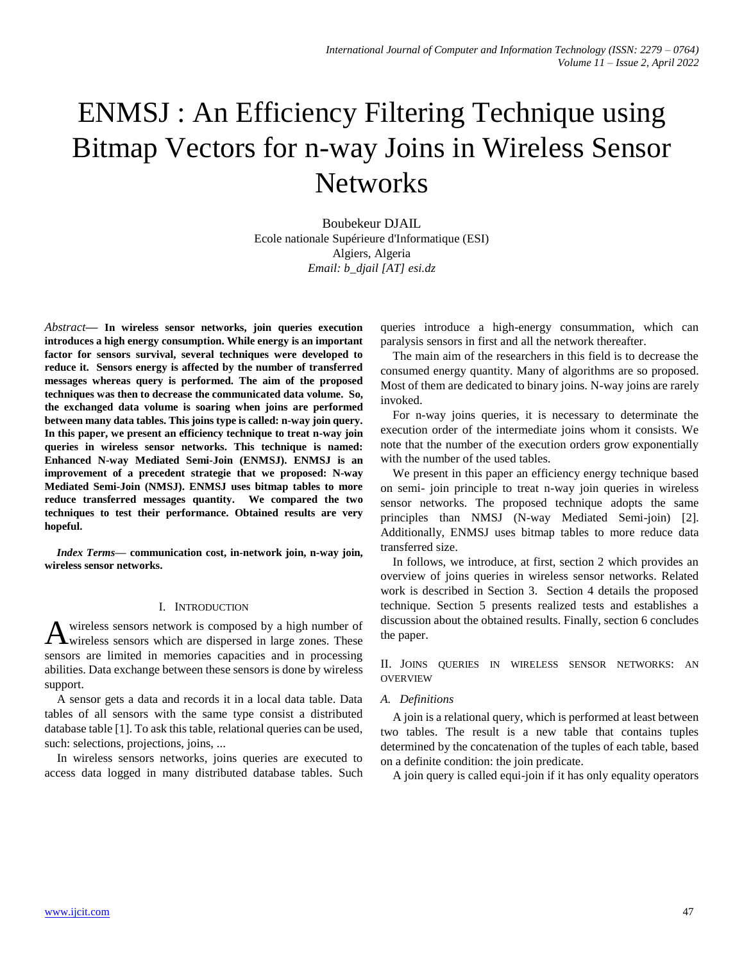# ENMSJ : An Efficiency Filtering Technique using Bitmap Vectors for n-way Joins in Wireless Sensor **Networks**

Boubekeur DJAIL Ecole nationale Supérieure d'Informatique (ESI) Algiers, Algeria *Email: b\_djail [AT] esi.dz*

*Abstract***— In wireless sensor networks, join queries execution introduces a high energy consumption. While energy is an important factor for sensors survival, several techniques were developed to reduce it. Sensors energy is affected by the number of transferred messages whereas query is performed. The aim of the proposed techniques was then to decrease the communicated data volume. So, the exchanged data volume is soaring when joins are performed between many data tables. This joins type is called: n-way join query. In this paper, we present an efficiency technique to treat n-way join queries in wireless sensor networks. This technique is named: Enhanced N-way Mediated Semi-Join (ENMSJ). ENMSJ is an improvement of a precedent strategie that we proposed: N-way Mediated Semi-Join (NMSJ). ENMSJ uses bitmap tables to more reduce transferred messages quantity. We compared the two techniques to test their performance. Obtained results are very hopeful.** 

*Index Terms***— communication cost, in-network join, n-way join, wireless sensor networks.**

# I. INTRODUCTION

wireless sensors network is composed by a high number of A wireless sensors network is composed by a high number of wireless sensors which are dispersed in large zones. These sensors are limited in memories capacities and in processing abilities. Data exchange between these sensors is done by wireless support.

A sensor gets a data and records it in a local data table. Data tables of all sensors with the same type consist a distributed database table [\[1\]](#page-5-0). To ask this table, relational queries can be used, such: selections, projections, joins, ...

In wireless sensors networks, joins queries are executed to access data logged in many distributed database tables. Such

queries introduce a high-energy consummation, which can paralysis sensors in first and all the network thereafter.

The main aim of the researchers in this field is to decrease the consumed energy quantity. Many of algorithms are so proposed. Most of them are dedicated to binary joins. N-way joins are rarely invoked.

For n-way joins queries, it is necessary to determinate the execution order of the intermediate joins whom it consists. We note that the number of the execution orders grow exponentially with the number of the used tables.

We present in this paper an efficiency energy technique based on semi- join principle to treat n-way join queries in wireless sensor networks. The proposed technique adopts the same principles than NMSJ (N-way Mediated Semi-join) [\[2\]](#page-5-1). Additionally, ENMSJ uses bitmap tables to more reduce data transferred size.

In follows, we introduce, at first, section 2 which provides an overview of joins queries in wireless sensor networks. Related work is described in Section 3. Section 4 details the proposed technique. Section 5 presents realized tests and establishes a discussion about the obtained results. Finally, section 6 concludes the paper.

II. JOINS QUERIES IN WIRELESS SENSOR NETWORKS: AN OVERVIEW

#### *A. Definitions*

A join is a relational query, which is performed at least between two tables. The result is a new table that contains tuples determined by the concatenation of the tuples of each table, based on a definite condition: the join predicate.

A join query is called equi-join if it has only equality operators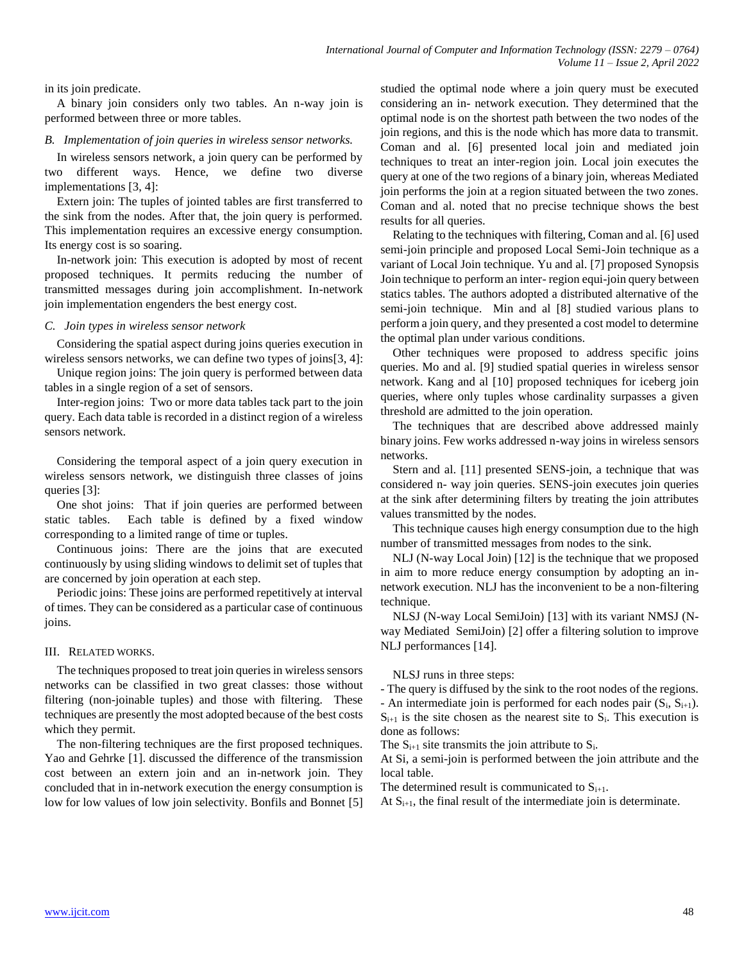in its join predicate.

A binary join considers only two tables. An n-way join is performed between three or more tables.

## *B. Implementation of join queries in wireless sensor networks.*

In wireless sensors network, a join query can be performed by two different ways. Hence, we define two diverse implementations [\[3,](#page-5-2) [4\]](#page-5-3):

Extern join: The tuples of jointed tables are first transferred to the sink from the nodes. After that, the join query is performed. This implementation requires an excessive energy consumption. Its energy cost is so soaring.

In-network join: This execution is adopted by most of recent proposed techniques. It permits reducing the number of transmitted messages during join accomplishment. In-network join implementation engenders the best energy cost.

## *C. Join types in wireless sensor network*

Considering the spatial aspect during joins queries execution in wireless sensors networks, we can define two types of joins[\[3,](#page-5-2) [4\]](#page-5-3):

Unique region joins: The join query is performed between data tables in a single region of a set of sensors.

Inter-region joins: Two or more data tables tack part to the join query. Each data table is recorded in a distinct region of a wireless sensors network.

Considering the temporal aspect of a join query execution in wireless sensors network, we distinguish three classes of joins queries [\[3\]](#page-5-2):

One shot joins: That if join queries are performed between static tables. Each table is defined by a fixed window corresponding to a limited range of time or tuples.

Continuous joins: There are the joins that are executed continuously by using sliding windows to delimit set of tuples that are concerned by join operation at each step.

Periodic joins: These joins are performed repetitively at interval of times. They can be considered as a particular case of continuous joins.

# III. RELATED WORKS.

The techniques proposed to treat join queries in wireless sensors networks can be classified in two great classes: those without filtering (non-joinable tuples) and those with filtering. These techniques are presently the most adopted because of the best costs which they permit.

The non-filtering techniques are the first proposed techniques. Yao and Gehrke [\[1\]](#page-5-0). discussed the difference of the transmission cost between an extern join and an in-network join. They concluded that in in-network execution the energy consumption is low for low values of low join selectivity. Bonfils and Bonnet [\[5\]](#page-5-4) studied the optimal node where a join query must be executed considering an in- network execution. They determined that the optimal node is on the shortest path between the two nodes of the join regions, and this is the node which has more data to transmit. Coman and al. [\[6\]](#page-5-5) presented local join and mediated join techniques to treat an inter-region join. Local join executes the query at one of the two regions of a binary join, whereas Mediated join performs the join at a region situated between the two zones. Coman and al. noted that no precise technique shows the best results for all queries.

Relating to the techniques with filtering, Coman and al. [\[6\]](#page-5-5) used semi-join principle and proposed Local Semi-Join technique as a variant of Local Join technique. Yu and al. [\[7\]](#page-5-6) proposed Synopsis Join technique to perform an inter- region equi-join query between statics tables. The authors adopted a distributed alternative of the semi-join technique. Min and al [\[8\]](#page-5-7) studied various plans to perform a join query, and they presented a cost model to determine the optimal plan under various conditions.

Other techniques were proposed to address specific joins queries. Mo and al. [\[9\]](#page-5-8) studied spatial queries in wireless sensor network. Kang and al [\[10\]](#page-5-9) proposed techniques for iceberg join queries, where only tuples whose cardinality surpasses a given threshold are admitted to the join operation.

The techniques that are described above addressed mainly binary joins. Few works addressed n-way joins in wireless sensors networks.

Stern and al. [\[11\]](#page-5-10) presented SENS-join, a technique that was considered n- way join queries. SENS-join executes join queries at the sink after determining filters by treating the join attributes values transmitted by the nodes.

This technique causes high energy consumption due to the high number of transmitted messages from nodes to the sink.

NLJ (N-way Local Join) [\[12\]](#page-5-11) is the technique that we proposed in aim to more reduce energy consumption by adopting an innetwork execution. NLJ has the inconvenient to be a non-filtering technique.

NLSJ (N-way Local SemiJoin) [\[13\]](#page-5-12) with its variant NMSJ (Nway Mediated SemiJoin) [\[2\]](#page-5-1) offer a filtering solution to improve NLJ performances [\[14\]](#page-5-13).

NLSJ runs in three steps:

- The query is diffused by the sink to the root nodes of the regions. - An intermediate join is performed for each nodes pair  $(S_i, S_{i+1})$ .  $S_{i+1}$  is the site chosen as the nearest site to  $S_i$ . This execution is done as follows:

The  $S_{i+1}$  site transmits the join attribute to  $S_i$ .

At Si, a semi-join is performed between the join attribute and the local table.

The determined result is communicated to  $S_{i+1}$ .

At  $S_{i+1}$ , the final result of the intermediate join is determinate.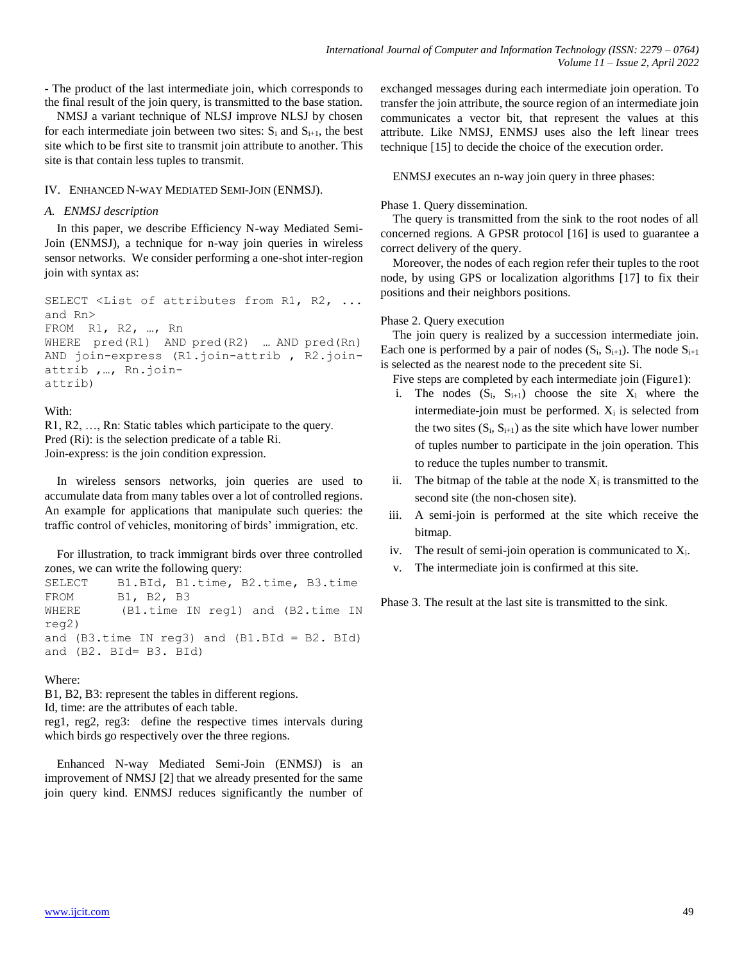- The product of the last intermediate join, which corresponds to the final result of the join query, is transmitted to the base station.

NMSJ a variant technique of NLSJ improve NLSJ by chosen for each intermediate join between two sites:  $S_i$  and  $S_{i+1}$ , the best site which to be first site to transmit join attribute to another. This site is that contain less tuples to transmit.

# IV. ENHANCED N-WAY MEDIATED SEMI-JOIN (ENMSJ).

# *A. ENMSJ description*

In this paper, we describe Efficiency N-way Mediated Semi-Join (ENMSJ), a technique for n-way join queries in wireless sensor networks. We consider performing a one-shot inter-region join with syntax as:

SELECT <List of attributes from R1, R2, ... and Rn> FROM R1, R2, …, Rn WHERE pred(R1) AND pred(R2) … AND pred(Rn) AND join-express (R1.join-attrib , R2.joinattrib ,…, Rn.joinattrib)

# With:

R1, R2, …, Rn: Static tables which participate to the query. Pred (Ri): is the selection predicate of a table Ri. Join-express: is the join condition expression.

In wireless sensors networks, join queries are used to accumulate data from many tables over a lot of controlled regions. An example for applications that manipulate such queries: the traffic control of vehicles, monitoring of birds' immigration, etc.

For illustration, to track immigrant birds over three controlled zones, we can write the following query:

SELECT B1.BId, B1.time, B2.time, B3.time FROM B1, B2, B3 WHERE (B1.time IN reg1) and (B2.time IN reg2) and  $(B3.time IN req3)$  and  $(B1.BId = B2.BId)$ and (B2. BId= B3. BId)

# Where:

B1, B2, B3: represent the tables in different regions.

Id, time: are the attributes of each table. reg1, reg2, reg3: define the respective times intervals during which birds go respectively over the three regions.

Enhanced N-way Mediated Semi-Join (ENMSJ) is an improvement of NMSJ [\[2\]](#page-5-1) that we already presented for the same join query kind. ENMSJ reduces significantly the number of exchanged messages during each intermediate join operation. To transfer the join attribute, the source region of an intermediate join communicates a vector bit, that represent the values at this attribute. Like NMSJ, ENMSJ uses also the left linear trees technique [\[15\]](#page-5-14) to decide the choice of the execution order.

ENMSJ executes an n-way join query in three phases:

# Phase 1. Query dissemination.

The query is transmitted from the sink to the root nodes of all concerned regions. A GPSR protocol [\[16\]](#page-6-0) is used to guarantee a correct delivery of the query.

Moreover, the nodes of each region refer their tuples to the root node, by using GPS or localization algorithms [\[17\]](#page-6-1) to fix their positions and their neighbors positions.

# Phase 2. Query execution

The join query is realized by a succession intermediate join. Each one is performed by a pair of nodes  $(S_i, S_{i+1})$ . The node  $S_{i+1}$ is selected as the nearest node to the precedent site Si.

- Five steps are completed by each intermediate join (Figure1):
- i. The nodes  $(S_i, S_{i+1})$  choose the site  $X_i$  where the intermediate-join must be performed.  $X_i$  is selected from the two sites  $(S_i, S_{i+1})$  as the site which have lower number of tuples number to participate in the join operation. This to reduce the tuples number to transmit.
- ii. The bitmap of the table at the node  $X_i$  is transmitted to the second site (the non-chosen site).
- iii. A semi-join is performed at the site which receive the bitmap.
- iv. The result of semi-join operation is communicated to  $X_i$ .
- v. The intermediate join is confirmed at this site.

Phase 3. The result at the last site is transmitted to the sink.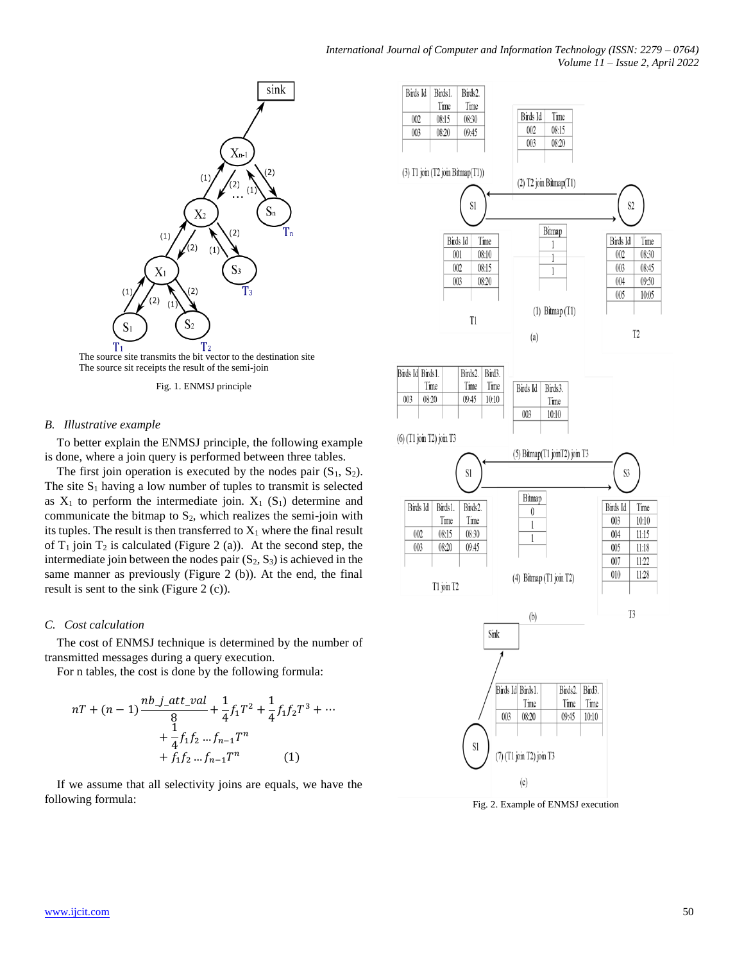

The source site transmits the bit vector to the destination site The source sit receipts the result of the semi-join

Fig. 1. ENMSJ principle

## *B. Illustrative example*

To better explain the ENMSJ principle, the following example is done, where a join query is performed between three tables.

The first join operation is executed by the nodes pair  $(S_1, S_2)$ . The site  $S_1$  having a low number of tuples to transmit is selected as  $X_1$  to perform the intermediate join.  $X_1$  (S<sub>1</sub>) determine and communicate the bitmap to  $S_2$ , which realizes the semi-join with its tuples. The result is then transferred to  $X_1$  where the final result of  $T_1$  join  $T_2$  is calculated (Figure 2 (a)). At the second step, the intermediate join between the nodes pair  $(S_2, S_3)$  is achieved in the same manner as previously (Figure 2 (b)). At the end, the final result is sent to the sink (Figure 2 (c)).

#### *C. Cost calculation*

The cost of ENMSJ technique is determined by the number of transmitted messages during a query execution.

For n tables, the cost is done by the following formula:

$$
nT + (n - 1)\frac{nb \text{ j}_- att\_val}{8} + \frac{1}{4}f_1T^2 + \frac{1}{4}f_1f_2T^3 + \dots + \frac{1}{4}f_1f_2 \dots f_{n-1}T^n + f_1f_2 \dots f_{n-1}T^n \qquad (1)
$$

If we assume that all selectivity joins are equals, we have the following formula: Fig. 2. Example of ENMSJ execution

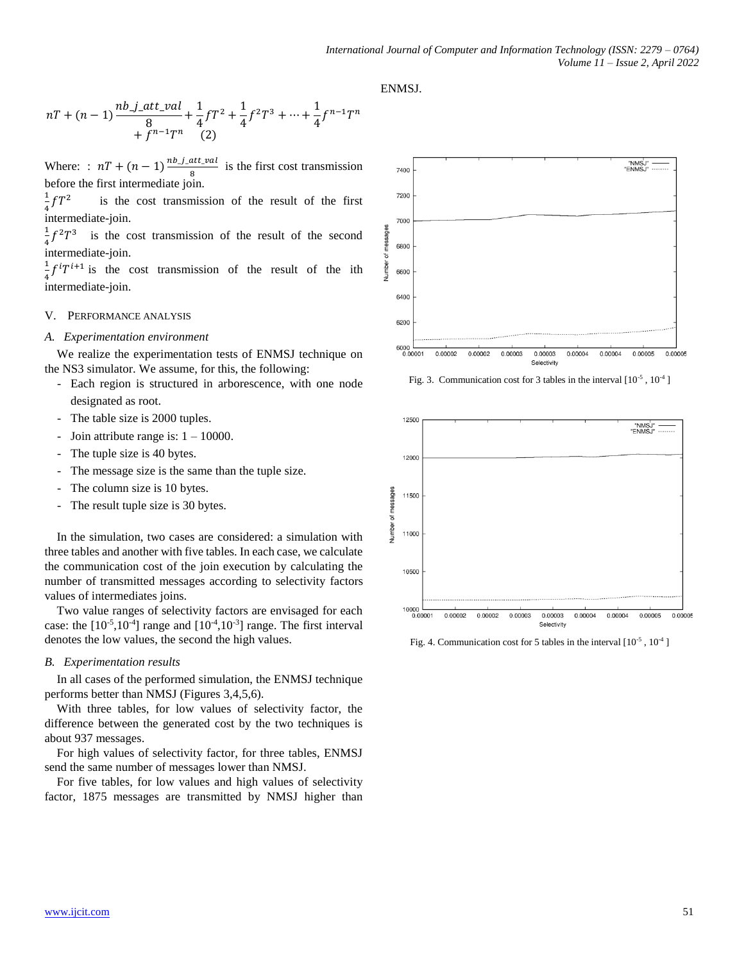## ENMSJ.

$$
nT + (n - 1)\frac{nb \text{ j}_-att\_val}{8} + \frac{1}{4}fT^2 + \frac{1}{4}f^2T^3 + \dots + \frac{1}{4}f^{n-1}T^n
$$
  
+  $f^{n-1}T^n$  (2)

Where: :  $nT + (n-1) \frac{nb_j \text{at } y}{n}$  $\frac{u_{1}u_{2}du_{1}}{8}$  is the first cost transmission before the first intermediate join.

1  $\frac{1}{4} fT^2$  is the cost transmission of the result of the first intermediate-join.

1  $\frac{1}{4}f^2T^3$  is the cost transmission of the result of the second intermediate-join.

1  $\frac{1}{4}f^{i}T^{i+1}$  is the cost transmission of the result of the ith intermediate-join.

#### V. PERFORMANCE ANALYSIS

#### *A. Experimentation environment*

We realize the experimentation tests of ENMSJ technique on the NS3 simulator. We assume, for this, the following:

- Each region is structured in arborescence, with one node designated as root.
- The table size is 2000 tuples.
- Join attribute range is:  $1 10000$ .
- The tuple size is 40 bytes.
- The message size is the same than the tuple size.
- The column size is 10 bytes.
- The result tuple size is 30 bytes.

In the simulation, two cases are considered: a simulation with three tables and another with five tables. In each case, we calculate the communication cost of the join execution by calculating the number of transmitted messages according to selectivity factors values of intermediates joins.

Two value ranges of selectivity factors are envisaged for each case: the  $[10^{-5}, 10^{-4}]$  range and  $[10^{-4}, 10^{-3}]$  range. The first interval denotes the low values, the second the high values.

#### *B. Experimentation results*

In all cases of the performed simulation, the ENMSJ technique performs better than NMSJ (Figures 3,4,5,6).

With three tables, for low values of selectivity factor, the difference between the generated cost by the two techniques is about 937 messages.

For high values of selectivity factor, for three tables, ENMSJ send the same number of messages lower than NMSJ.

For five tables, for low values and high values of selectivity factor, 1875 messages are transmitted by NMSJ higher than



Fig. 3. Communication cost for 3 tables in the interval  $[10^{-5}, 10^{-4}]$ 



Fig. 4. Communication cost for 5 tables in the interval  $[10^{-5}, 10^{-4}]$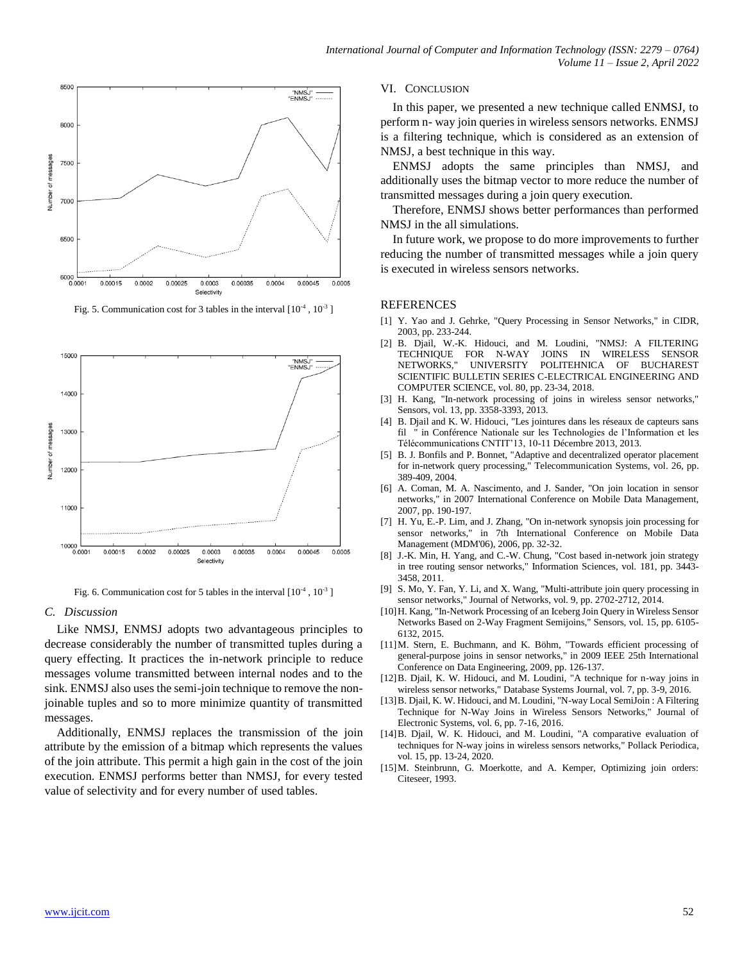

Fig. 5. Communication cost for 3 tables in the interval  $[10^{-4}, 10^{-3}]$ 



Fig. 6. Communication cost for 5 tables in the interval  $[10^{-4}, 10^{-3}]$ 

#### *C. Discussion*

Like NMSJ, ENMSJ adopts two advantageous principles to decrease considerably the number of transmitted tuples during a query effecting. It practices the in-network principle to reduce messages volume transmitted between internal nodes and to the sink. ENMSJ also uses the semi-join technique to remove the nonjoinable tuples and so to more minimize quantity of transmitted messages.

Additionally, ENMSJ replaces the transmission of the join attribute by the emission of a bitmap which represents the values of the join attribute. This permit a high gain in the cost of the join execution. ENMSJ performs better than NMSJ, for every tested value of selectivity and for every number of used tables.

## VI. CONCLUSION

In this paper, we presented a new technique called ENMSJ, to perform n- way join queries in wireless sensors networks. ENMSJ is a filtering technique, which is considered as an extension of NMSJ, a best technique in this way.

ENMSJ adopts the same principles than NMSJ, and additionally uses the bitmap vector to more reduce the number of transmitted messages during a join query execution.

Therefore, ENMSJ shows better performances than performed NMSJ in the all simulations.

In future work, we propose to do more improvements to further reducing the number of transmitted messages while a join query is executed in wireless sensors networks.

### REFERENCES

- <span id="page-5-0"></span>[1] Y. Yao and J. Gehrke, "Query Processing in Sensor Networks," in CIDR, 2003, pp. 233-244.
- <span id="page-5-1"></span>[2] B. Djail, W.-K. Hidouci, and M. Loudini, "NMSJ: A FILTERING TECHNIQUE FOR N-WAY JOINS IN WIRELESS SENSOR NETWORKS," UNIVERSITY POLITEHNICA OF BUCHAREST SCIENTIFIC BULLETIN SERIES C-ELECTRICAL ENGINEERING AND COMPUTER SCIENCE, vol. 80, pp. 23-34, 2018.
- <span id="page-5-2"></span>[3] H. Kang, "In-network processing of joins in wireless sensor networks," Sensors, vol. 13, pp. 3358-3393, 2013.
- <span id="page-5-3"></span>[4] B. Djail and K. W. Hidouci, "Les jointures dans les réseaux de capteurs sans fil " in Conférence Nationale sur les Technologies de l'Information et les Télécommunications CNTIT'13, 10-11 Décembre 2013, 2013.
- <span id="page-5-4"></span>[5] B. J. Bonfils and P. Bonnet, "Adaptive and decentralized operator placement for in-network query processing," Telecommunication Systems, vol. 26, pp. 389-409, 2004.
- <span id="page-5-5"></span>[6] A. Coman, M. A. Nascimento, and J. Sander, "On join location in sensor networks," in 2007 International Conference on Mobile Data Management, 2007, pp. 190-197.
- <span id="page-5-6"></span>[7] H. Yu, E.-P. Lim, and J. Zhang, "On in-network synopsis join processing for sensor networks," in 7th International Conference on Mobile Data Management (MDM'06), 2006, pp. 32-32.
- <span id="page-5-7"></span>[8] J.-K. Min, H. Yang, and C.-W. Chung, "Cost based in-network join strategy in tree routing sensor networks," Information Sciences, vol. 181, pp. 3443- 3458, 2011.
- <span id="page-5-8"></span>[9] S. Mo, Y. Fan, Y. Li, and X. Wang, "Multi-attribute join query processing in sensor networks," Journal of Networks, vol. 9, pp. 2702-2712, 2014.
- <span id="page-5-9"></span>[10]H. Kang, "In-Network Processing of an Iceberg Join Query in Wireless Sensor Networks Based on 2-Way Fragment Semijoins," Sensors, vol. 15, pp. 6105- 6132, 2015.
- <span id="page-5-10"></span>[11]M. Stern, E. Buchmann, and K. Böhm, "Towards efficient processing of general-purpose joins in sensor networks," in 2009 IEEE 25th International Conference on Data Engineering, 2009, pp. 126-137.
- <span id="page-5-11"></span>[12]B. Djail, K. W. Hidouci, and M. Loudini, "A technique for n-way joins in wireless sensor networks," Database Systems Journal, vol. 7, pp. 3-9, 2016.
- <span id="page-5-12"></span>[13]B. Djail, K. W. Hidouci, and M. Loudini, "N-way Local SemiJoin : A Filtering Technique for N-Way Joins in Wireless Sensors Networks," Journal of Electronic Systems, vol. 6, pp. 7-16, 2016.
- <span id="page-5-13"></span>[14]B. Djail, W. K. Hidouci, and M. Loudini, "A comparative evaluation of techniques for N-way joins in wireless sensors networks," Pollack Periodica, vol. 15, pp. 13-24, 2020.
- <span id="page-5-14"></span>[15]M. Steinbrunn, G. Moerkotte, and A. Kemper, Optimizing join orders: Citeseer, 1993.